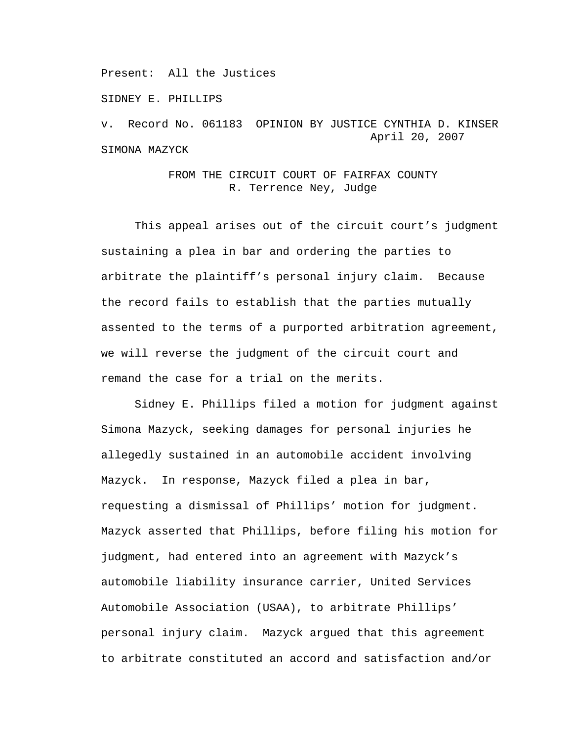Present: All the Justices

SIDNEY E. PHILLIPS

v. Record No. 061183 OPINION BY JUSTICE CYNTHIA D. KINSER April 20, 2007 SIMONA MAZYCK

## FROM THE CIRCUIT COURT OF FAIRFAX COUNTY R. Terrence Ney, Judge

This appeal arises out of the circuit court's judgment sustaining a plea in bar and ordering the parties to arbitrate the plaintiff's personal injury claim. Because the record fails to establish that the parties mutually assented to the terms of a purported arbitration agreement, we will reverse the judgment of the circuit court and remand the case for a trial on the merits.

 Sidney E. Phillips filed a motion for judgment against Simona Mazyck, seeking damages for personal injuries he allegedly sustained in an automobile accident involving Mazyck. In response, Mazyck filed a plea in bar, requesting a dismissal of Phillips' motion for judgment. Mazyck asserted that Phillips, before filing his motion for judgment, had entered into an agreement with Mazyck's automobile liability insurance carrier, United Services Automobile Association (USAA), to arbitrate Phillips' personal injury claim. Mazyck argued that this agreement to arbitrate constituted an accord and satisfaction and/or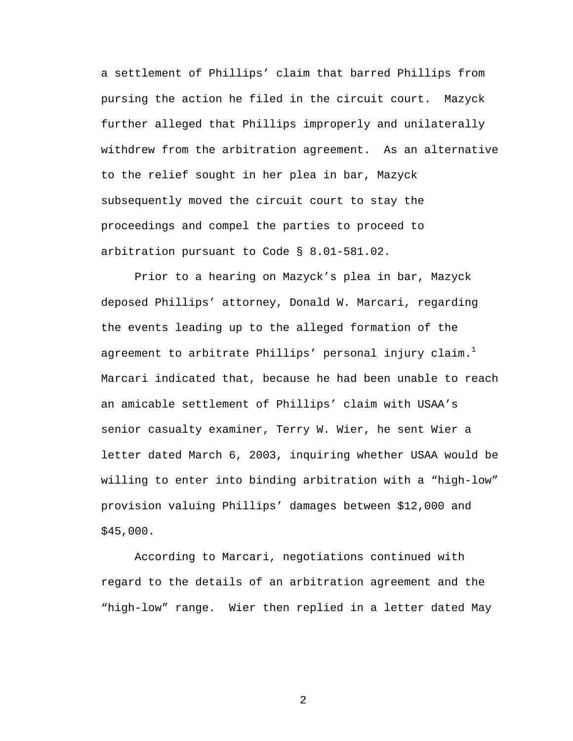a settlement of Phillips' claim that barred Phillips from pursing the action he filed in the circuit court. Mazyck further alleged that Phillips improperly and unilaterally withdrew from the arbitration agreement. As an alternative to the relief sought in her plea in bar, Mazyck subsequently moved the circuit court to stay the proceedings and compel the parties to proceed to arbitration pursuant to Code § 8.01-581.02.

 Prior to a hearing on Mazyck's plea in bar, Mazyck deposed Phillips' attorney, Donald W. Marcari, regarding the events leading up to the alleged formation of the agreement to arbitrate Phillips' personal injury claim. $^{\rm l}$ Marcari indicated that, because he had been unable to reach an amicable settlement of Phillips' claim with USAA's senior casualty examiner, Terry W. Wier, he sent Wier a letter dated March 6, 2003, inquiring whether USAA would be willing to enter into binding arbitration with a "high-low" provision valuing Phillips' damages between \$12,000 and \$45,000.

According to Marcari, negotiations continued with regard to the details of an arbitration agreement and the "high-low" range. Wier then replied in a letter dated May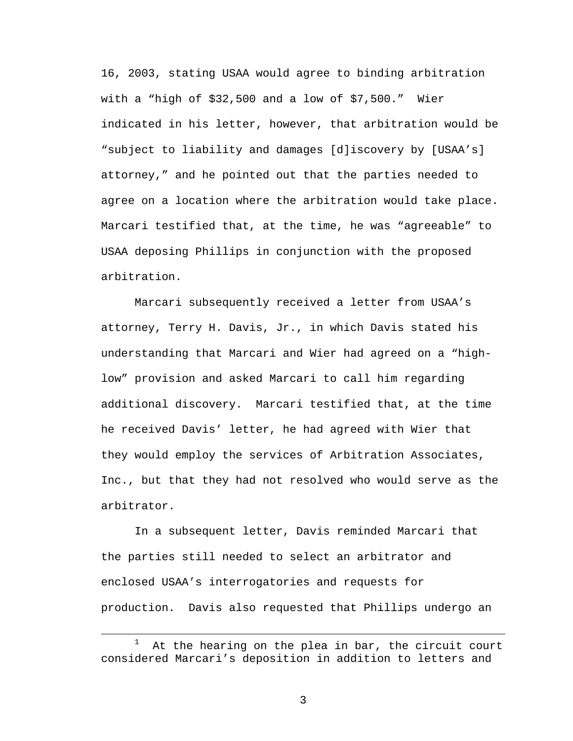16, 2003, stating USAA would agree to binding arbitration with a "high of \$32,500 and a low of \$7,500." Wier indicated in his letter, however, that arbitration would be "subject to liability and damages [d]iscovery by [USAA's] attorney," and he pointed out that the parties needed to agree on a location where the arbitration would take place. Marcari testified that, at the time, he was "agreeable" to USAA deposing Phillips in conjunction with the proposed arbitration.

 Marcari subsequently received a letter from USAA's attorney, Terry H. Davis, Jr., in which Davis stated his understanding that Marcari and Wier had agreed on a "highlow" provision and asked Marcari to call him regarding additional discovery. Marcari testified that, at the time he received Davis' letter, he had agreed with Wier that they would employ the services of Arbitration Associates, Inc., but that they had not resolved who would serve as the arbitrator.

In a subsequent letter, Davis reminded Marcari that the parties still needed to select an arbitrator and enclosed USAA's interrogatories and requests for production. Davis also requested that Phillips undergo an

<sup>&</sup>lt;u>1</u> At the hearing on the plea in bar, the circuit court considered Marcari's deposition in addition to letters and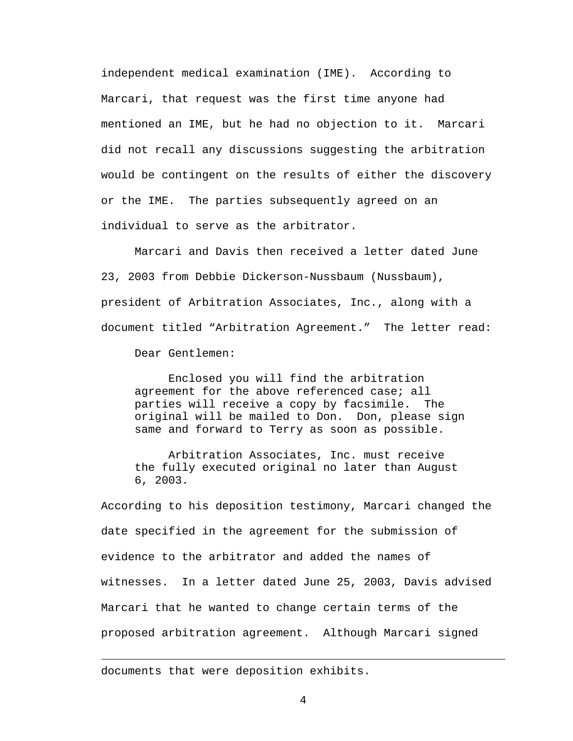independent medical examination (IME). According to Marcari, that request was the first time anyone had mentioned an IME, but he had no objection to it. Marcari did not recall any discussions suggesting the arbitration would be contingent on the results of either the discovery or the IME. The parties subsequently agreed on an individual to serve as the arbitrator.

Marcari and Davis then received a letter dated June 23, 2003 from Debbie Dickerson-Nussbaum (Nussbaum), president of Arbitration Associates, Inc., along with a document titled "Arbitration Agreement." The letter read:

Dear Gentlemen:

 Enclosed you will find the arbitration agreement for the above referenced case; all parties will receive a copy by facsimile. The original will be mailed to Don. Don, please sign same and forward to Terry as soon as possible.

 Arbitration Associates, Inc. must receive the fully executed original no later than August 6, 2003.

According to his deposition testimony, Marcari changed the date specified in the agreement for the submission of evidence to the arbitrator and added the names of witnesses. In a letter dated June 25, 2003, Davis advised Marcari that he wanted to change certain terms of the proposed arbitration agreement. Although Marcari signed

documents that were deposition exhibits.

i<br>Li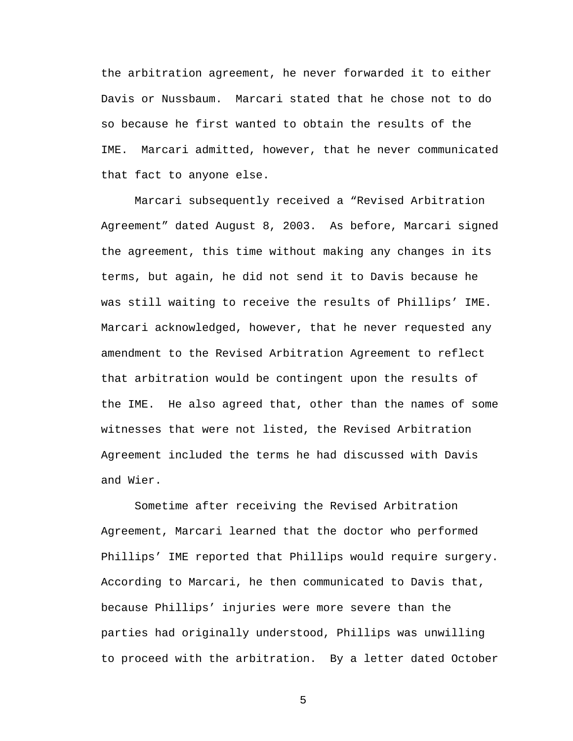the arbitration agreement, he never forwarded it to either Davis or Nussbaum. Marcari stated that he chose not to do so because he first wanted to obtain the results of the IME. Marcari admitted, however, that he never communicated that fact to anyone else.

Marcari subsequently received a "Revised Arbitration Agreement" dated August 8, 2003. As before, Marcari signed the agreement, this time without making any changes in its terms, but again, he did not send it to Davis because he was still waiting to receive the results of Phillips' IME. Marcari acknowledged, however, that he never requested any amendment to the Revised Arbitration Agreement to reflect that arbitration would be contingent upon the results of the IME. He also agreed that, other than the names of some witnesses that were not listed, the Revised Arbitration Agreement included the terms he had discussed with Davis and Wier.

Sometime after receiving the Revised Arbitration Agreement, Marcari learned that the doctor who performed Phillips' IME reported that Phillips would require surgery. According to Marcari, he then communicated to Davis that, because Phillips' injuries were more severe than the parties had originally understood, Phillips was unwilling to proceed with the arbitration. By a letter dated October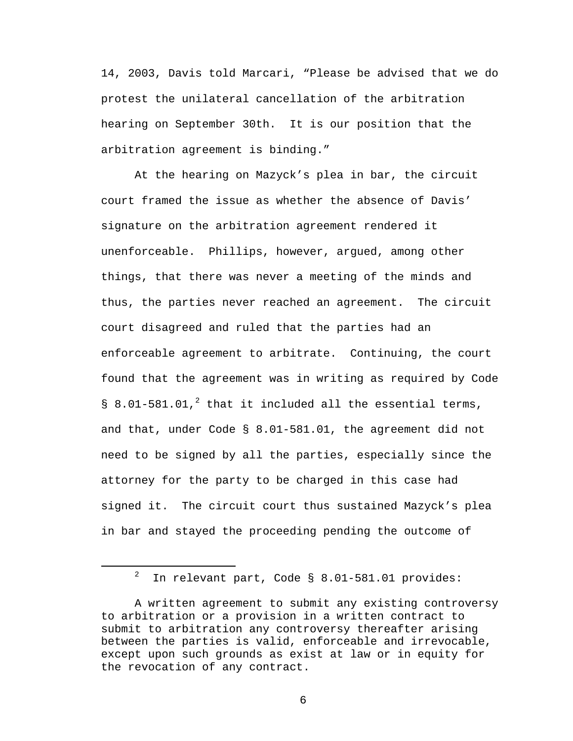14, 2003, Davis told Marcari, "Please be advised that we do protest the unilateral cancellation of the arbitration hearing on September 30th. It is our position that the arbitration agreement is binding."

At the hearing on Mazyck's plea in bar, the circuit court framed the issue as whether the absence of Davis' signature on the arbitration agreement rendered it unenforceable. Phillips, however, argued, among other things, that there was never a meeting of the minds and thus, the parties never reached an agreement. The circuit court disagreed and ruled that the parties had an enforceable agreement to arbitrate. Continuing, the court found that the agreement was in writing as required by Code  $\S$  8.01-581.01,<sup>2</sup> that it included all the essential terms, and that, under Code § 8.01-581.01, the agreement did not need to be signed by all the parties, especially since the attorney for the party to be charged in this case had signed it. The circuit court thus sustained Mazyck's plea in bar and stayed the proceeding pending the outcome of

 $\overline{\phantom{a}}$  $12$  In relevant part, Code § 8.01-581.01 provides:

A written agreement to submit any existing controversy to arbitration or a provision in a written contract to submit to arbitration any controversy thereafter arising between the parties is valid, enforceable and irrevocable, except upon such grounds as exist at law or in equity for the revocation of any contract.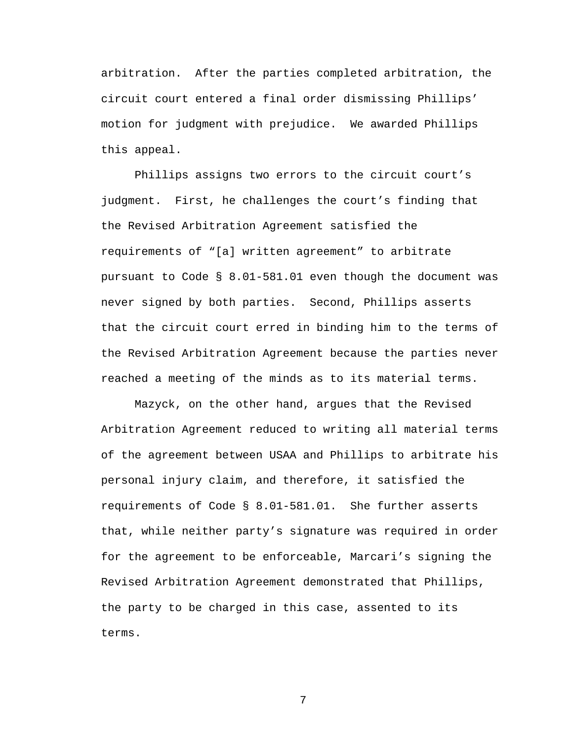arbitration. After the parties completed arbitration, the circuit court entered a final order dismissing Phillips' motion for judgment with prejudice. We awarded Phillips this appeal.

Phillips assigns two errors to the circuit court's judgment. First, he challenges the court's finding that the Revised Arbitration Agreement satisfied the requirements of "[a] written agreement" to arbitrate pursuant to Code § 8.01-581.01 even though the document was never signed by both parties. Second, Phillips asserts that the circuit court erred in binding him to the terms of the Revised Arbitration Agreement because the parties never reached a meeting of the minds as to its material terms.

Mazyck, on the other hand, argues that the Revised Arbitration Agreement reduced to writing all material terms of the agreement between USAA and Phillips to arbitrate his personal injury claim, and therefore, it satisfied the requirements of Code § 8.01-581.01. She further asserts that, while neither party's signature was required in order for the agreement to be enforceable, Marcari's signing the Revised Arbitration Agreement demonstrated that Phillips, the party to be charged in this case, assented to its terms.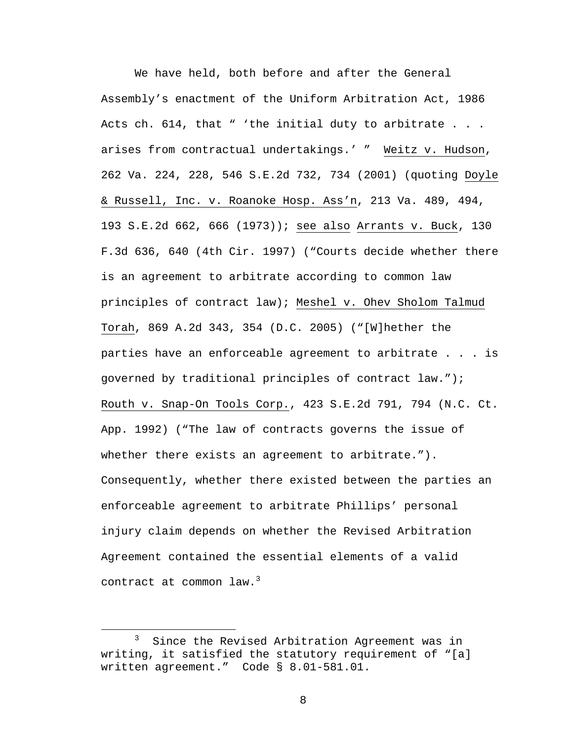We have held, both before and after the General Assembly's enactment of the Uniform Arbitration Act, 1986 Acts ch. 614, that " 'the initial duty to arbitrate . . . arises from contractual undertakings.' " Weitz v. Hudson, 262 Va. 224, 228, 546 S.E.2d 732, 734 (2001) (quoting Doyle & Russell, Inc. v. Roanoke Hosp. Ass'n, 213 Va. 489, 494, 193 S.E.2d 662, 666 (1973)); see also Arrants v. Buck, 130 F.3d 636, 640 (4th Cir. 1997) ("Courts decide whether there is an agreement to arbitrate according to common law principles of contract law); Meshel v. Ohev Sholom Talmud Torah, 869 A.2d 343, 354 (D.C. 2005) ("[W]hether the parties have an enforceable agreement to arbitrate . . . is governed by traditional principles of contract law."); Routh v. Snap-On Tools Corp., 423 S.E.2d 791, 794 (N.C. Ct. App. 1992) ("The law of contracts governs the issue of whether there exists an agreement to arbitrate."). Consequently, whether there existed between the parties an enforceable agreement to arbitrate Phillips' personal injury claim depends on whether the Revised Arbitration Agreement contained the essential elements of a valid contract at common law.<sup>3</sup>

 $\overline{\phantom{a}}$  3  $3$  Since the Revised Arbitration Agreement was in writing, it satisfied the statutory requirement of "[a] written agreement." Code § 8.01-581.01.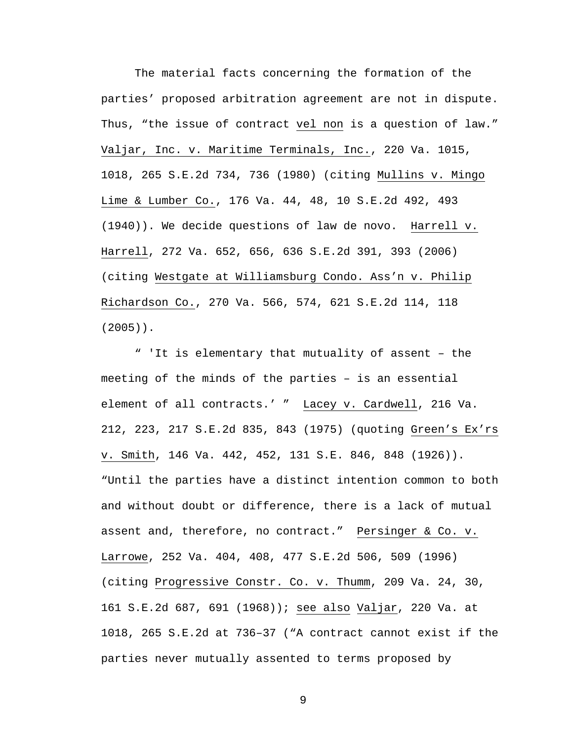The material facts concerning the formation of the parties' proposed arbitration agreement are not in dispute. Thus, "the issue of contract vel non is a question of law." Valjar, Inc. v. Maritime Terminals, Inc., 220 Va. 1015, 1018, 265 S.E.2d 734, 736 (1980) (citing Mullins v. Mingo Lime & Lumber Co., 176 Va. 44, 48, 10 S.E.2d 492, 493 (1940)). We decide questions of law de novo. Harrell v. Harrell, 272 Va. 652, 656, 636 S.E.2d 391, 393 (2006) (citing Westgate at Williamsburg Condo. Ass'n v. Philip Richardson Co., 270 Va. 566, 574, 621 S.E.2d 114, 118 (2005)).

" 'It is elementary that mutuality of assent – the meeting of the minds of the parties – is an essential element of all contracts.' " Lacey v. Cardwell, 216 Va. 212, 223, 217 S.E.2d 835, 843 (1975) (quoting Green's Ex'rs v. Smith, 146 Va. 442, 452, 131 S.E. 846, 848 (1926)). "Until the parties have a distinct intention common to both and without doubt or difference, there is a lack of mutual assent and, therefore, no contract." Persinger & Co. v. Larrowe, 252 Va. 404, 408, 477 S.E.2d 506, 509 (1996) (citing Progressive Constr. Co. v. Thumm, 209 Va. 24, 30, 161 S.E.2d 687, 691 (1968)); see also Valjar, 220 Va. at 1018, 265 S.E.2d at 736–37 ("A contract cannot exist if the parties never mutually assented to terms proposed by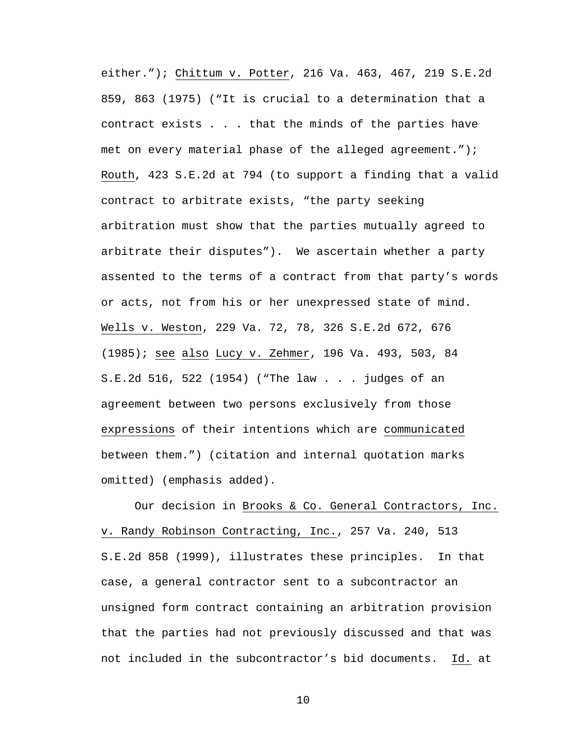either."); Chittum v. Potter, 216 Va. 463, 467, 219 S.E.2d 859, 863 (1975) ("It is crucial to a determination that a contract exists . . . that the minds of the parties have met on every material phase of the alleged agreement."); Routh, 423 S.E.2d at 794 (to support a finding that a valid contract to arbitrate exists, "the party seeking arbitration must show that the parties mutually agreed to arbitrate their disputes").We ascertain whether a party assented to the terms of a contract from that party's words or acts, not from his or her unexpressed state of mind. Wells v. Weston, 229 Va. 72, 78, 326 S.E.2d 672, 676 (1985); see also Lucy v. Zehmer, 196 Va. 493, 503, 84 S.E.2d 516, 522 (1954) ("The law . . . judges of an agreement between two persons exclusively from those expressions of their intentions which are communicated between them.") (citation and internal quotation marks omitted) (emphasis added).

Our decision in Brooks & Co. General Contractors, Inc. v. Randy Robinson Contracting, Inc., 257 Va. 240, 513 S.E.2d 858 (1999), illustrates these principles. In that case, a general contractor sent to a subcontractor an unsigned form contract containing an arbitration provision that the parties had not previously discussed and that was not included in the subcontractor's bid documents. Id. at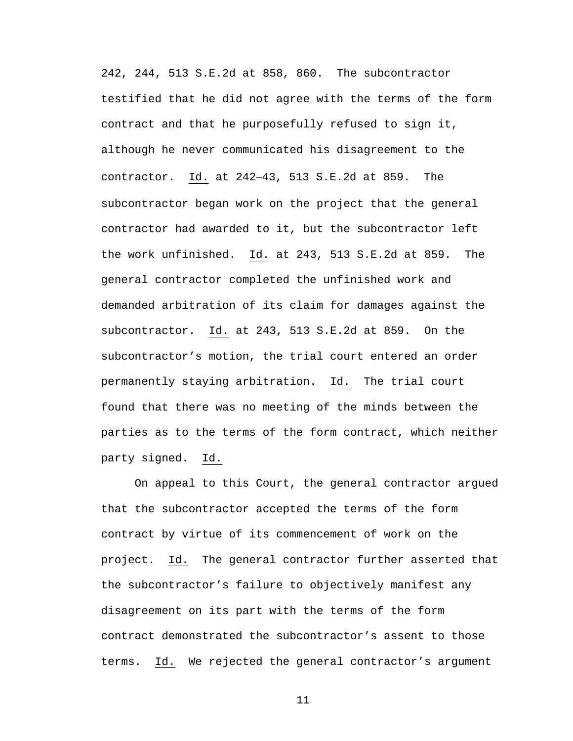242, 244, 513 S.E.2d at 858, 860. The subcontractor testified that he did not agree with the terms of the form contract and that he purposefully refused to sign it, although he never communicated his disagreement to the contractor. Id. at 242−43, 513 S.E.2d at 859. The subcontractor began work on the project that the general contractor had awarded to it, but the subcontractor left the work unfinished. Id. at 243, 513 S.E.2d at 859. The general contractor completed the unfinished work and demanded arbitration of its claim for damages against the subcontractor. Id. at 243, 513 S.E.2d at 859. On the subcontractor's motion, the trial court entered an order permanently staying arbitration. Id. The trial court found that there was no meeting of the minds between the parties as to the terms of the form contract, which neither party signed. Id.

On appeal to this Court, the general contractor argued that the subcontractor accepted the terms of the form contract by virtue of its commencement of work on the project. Id. The general contractor further asserted that the subcontractor's failure to objectively manifest any disagreement on its part with the terms of the form contract demonstrated the subcontractor's assent to those terms. Id. We rejected the general contractor's argument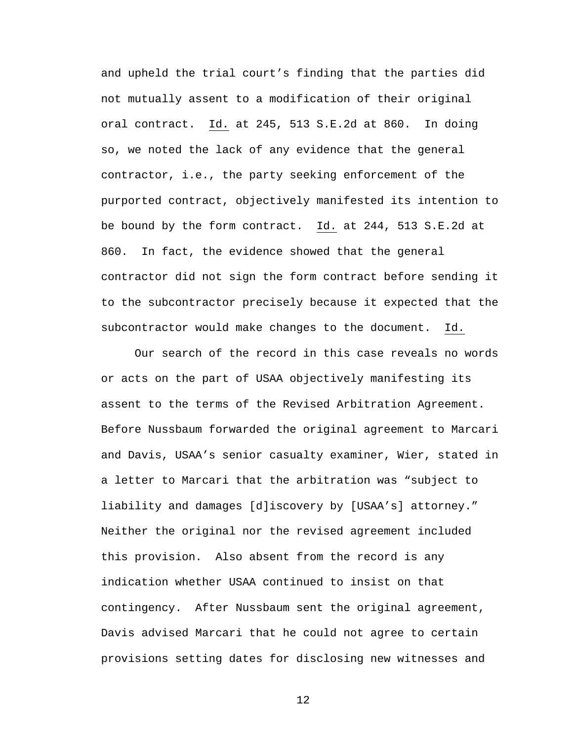and upheld the trial court's finding that the parties did not mutually assent to a modification of their original oral contract. Id. at 245, 513 S.E.2d at 860. In doing so, we noted the lack of any evidence that the general contractor, i.e., the party seeking enforcement of the purported contract, objectively manifested its intention to be bound by the form contract. Id. at 244, 513 S.E.2d at 860. In fact, the evidence showed that the general contractor did not sign the form contract before sending it to the subcontractor precisely because it expected that the subcontractor would make changes to the document. Id.

Our search of the record in this case reveals no words or acts on the part of USAA objectively manifesting its assent to the terms of the Revised Arbitration Agreement. Before Nussbaum forwarded the original agreement to Marcari and Davis, USAA's senior casualty examiner, Wier, stated in a letter to Marcari that the arbitration was "subject to liability and damages [d]iscovery by [USAA's] attorney." Neither the original nor the revised agreement included this provision. Also absent from the record is any indication whether USAA continued to insist on that contingency. After Nussbaum sent the original agreement, Davis advised Marcari that he could not agree to certain provisions setting dates for disclosing new witnesses and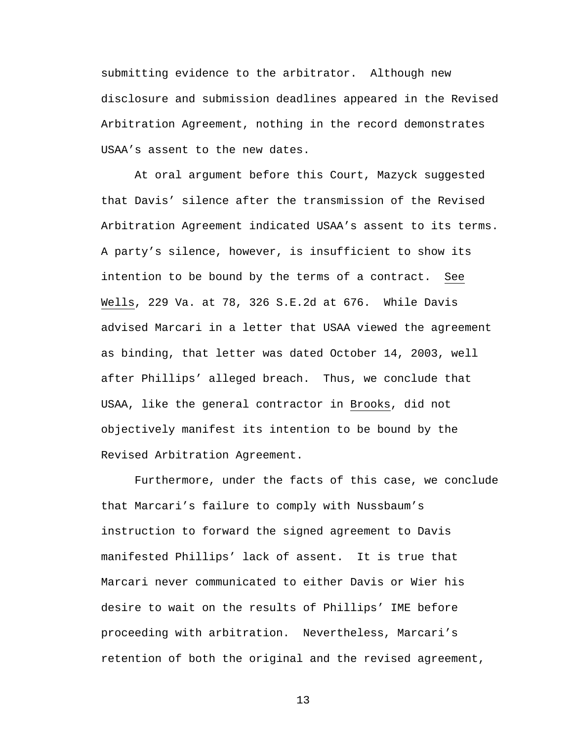submitting evidence to the arbitrator. Although new disclosure and submission deadlines appeared in the Revised Arbitration Agreement, nothing in the record demonstrates USAA's assent to the new dates.

At oral argument before this Court, Mazyck suggested that Davis' silence after the transmission of the Revised Arbitration Agreement indicated USAA's assent to its terms. A party's silence, however, is insufficient to show its intention to be bound by the terms of a contract. See Wells, 229 Va. at 78, 326 S.E.2d at 676. While Davis advised Marcari in a letter that USAA viewed the agreement as binding, that letter was dated October 14, 2003, well after Phillips' alleged breach. Thus, we conclude that USAA, like the general contractor in Brooks, did not objectively manifest its intention to be bound by the Revised Arbitration Agreement.

Furthermore, under the facts of this case, we conclude that Marcari's failure to comply with Nussbaum's instruction to forward the signed agreement to Davis manifested Phillips' lack of assent. It is true that Marcari never communicated to either Davis or Wier his desire to wait on the results of Phillips' IME before proceeding with arbitration. Nevertheless, Marcari's retention of both the original and the revised agreement,